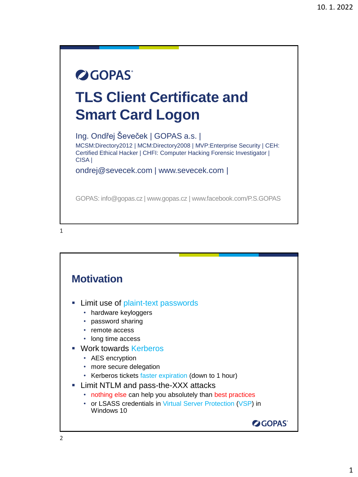## **OGOPAS TLS Client Certificate and Smart Card Logon**

Ing. Ondřej Ševeček | GOPAS a.s. | MCSM:Directory2012 | MCM:Directory2008 | MVP:Enterprise Security | CEH: Certified Ethical Hacker | CHFI: Computer Hacking Forensic Investigator | CISA |

ondrej@sevecek.com | www.sevecek.com |

GOPAS: info@gopas.cz | www.gopas.cz | www.facebook.com/P.S.GOPAS

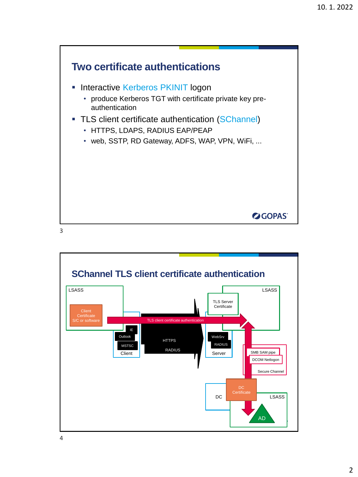

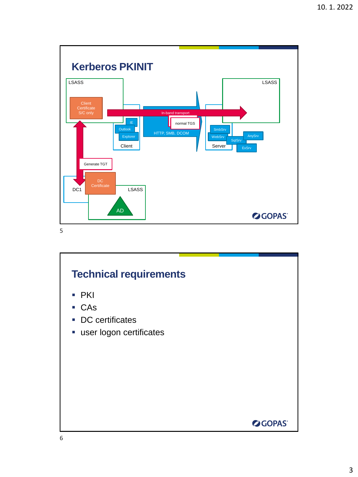

# **Technical requirements** ■ PKI ■ CAs ■ DC certificates **·** user logon certificates **OGOPAS**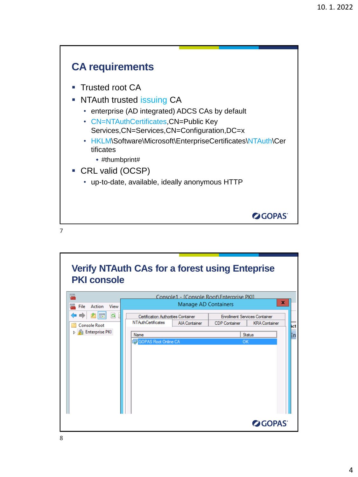

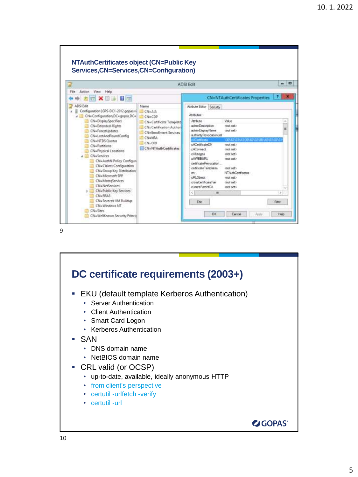

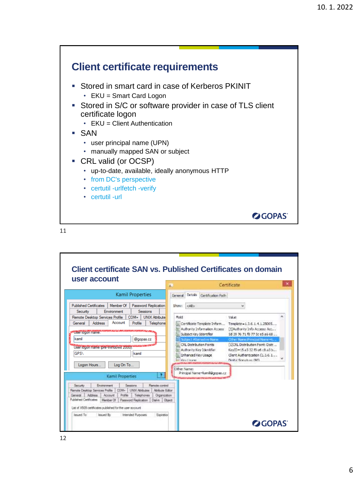

|                                                                                                  |                                                                                                                     |                                          |                                                                                                        | n           |            |                                                                                                        | Certificate                                                                                                                                               |  |
|--------------------------------------------------------------------------------------------------|---------------------------------------------------------------------------------------------------------------------|------------------------------------------|--------------------------------------------------------------------------------------------------------|-------------|------------|--------------------------------------------------------------------------------------------------------|-----------------------------------------------------------------------------------------------------------------------------------------------------------|--|
|                                                                                                  |                                                                                                                     | <b>Kamil Properties</b>                  |                                                                                                        | General     |            | Details Certification Path                                                                             |                                                                                                                                                           |  |
| <b>Published Certificates</b><br>Security                                                        | Member Of<br>Environment                                                                                            |                                          | <b>Password Replication</b><br><b>Sessions</b>                                                         | Show:       | <al></al>  |                                                                                                        |                                                                                                                                                           |  |
|                                                                                                  | Remote Desktop Services Profile                                                                                     | COM+                                     | <b>UNIX Attribute</b>                                                                                  | Beld        |            |                                                                                                        | <b>Value</b>                                                                                                                                              |  |
| General<br>User logon name:<br>kamil                                                             | Account<br><b>Address</b>                                                                                           | Profile                                  | Telephone                                                                                              |             |            | L. Certificate Template Inform<br>Authority Information Access<br>Subject Key Identifier               | Template = 1, 3, 6, 1, 4, 1, 25005<br>[1] Authority Info Access: Acc<br>5d 39 76 71 f8 77 5c e5 a6 68                                                     |  |
| <b>GPS\</b>                                                                                      | User logon name (pre-Windows 2000):                                                                                 | kamil                                    | @gopas.cz                                                                                              |             | Kou Lisano | Subject Alternative Name<br>CRL Distribution Points<br>Authority Kiry Identifier<br>Enhanced Key Usage | Other Name: Principal Name: ~ i<br>[1]CRL Distribution Point: Distr<br>KeylD=15a332 f9 e6 cBa3b<br>Clent Authentication (1.3.6.1<br>Digital Senature (SO) |  |
| Logon Hours                                                                                      | Log On To<br><b>Kamil Properties</b>                                                                                |                                          | ×                                                                                                      | Other Name: |            | Principal Namemkamil@gopas.cz                                                                          |                                                                                                                                                           |  |
| Service<br>Rende Desidop Services Profile<br>Address<br>General<br><b>Fublished Certificates</b> | Environment<br>rray.<br>Profile<br>Account<br>Member Of<br>Let of X509 certificates published for the user account. | <b>Sessions</b><br><b>UNIX Attitudes</b> | Renate control<br>Atvisues Editor<br>Telephones<br>Organization<br>Password Replication Dial-in Disect |             |            |                                                                                                        |                                                                                                                                                           |  |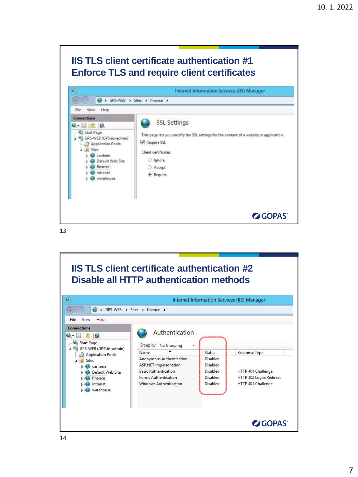### **IIS TLS client certificate authentication #1 Enforce TLS and require client certificates**



13

#### **IIS TLS client certificate authentication #2 Disable all HTTP authentication methods**  $\mathbf{G}_1$ Internet Information Services (IIS) Manager  $\circ$ → GPS-WEB > Sites > finance > File View Help **Connections** Authentication  $\bullet$   $\blacksquare$   $\blacksquare$   $\blacksquare$ Start Page Group by: No Grouping GPS-WEB (GPS\iis-admin)  $\overline{\phantom{a}}$ Name Status Response Type Application Pools Anonymous Authentication Disabled  $4 - 9$  Sites ASP.NET Impersonation Disabled **D** canteen HTTP 401 Challenge **Basic Authentication** Disabled Default Web Site  $\triangleright$   $\bigodot$  finance Forms Authentication Disabled HTTP 302 Login/Redirect  $\triangleright$   $\bigodot$  intranet HTTP 401 Challenge Windows Authentication Disabled **D** Warehouse **OGOPAS**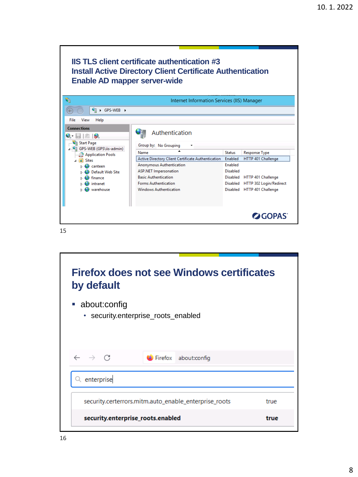| <b>Enable AD mapper server-wide</b>                                                                                                                                                                       | <b>IIS TLS client certificate authentication #3</b><br><b>Install Active Directory Client Certificate Authentication</b>                                                                                                                                                |                                                        |                                                                                                                                              |
|-----------------------------------------------------------------------------------------------------------------------------------------------------------------------------------------------------------|-------------------------------------------------------------------------------------------------------------------------------------------------------------------------------------------------------------------------------------------------------------------------|--------------------------------------------------------|----------------------------------------------------------------------------------------------------------------------------------------------|
| ۹                                                                                                                                                                                                         | Internet Information Services (IIS) Manager                                                                                                                                                                                                                             |                                                        |                                                                                                                                              |
| $\rightarrow$ GPS-WEB $\rightarrow$<br>ਚ∃                                                                                                                                                                 |                                                                                                                                                                                                                                                                         |                                                        |                                                                                                                                              |
| File<br>View<br>Help                                                                                                                                                                                      |                                                                                                                                                                                                                                                                         |                                                        |                                                                                                                                              |
| <b>Connections</b><br>$\blacksquare$<br><b>Start Page</b><br>4 GPS-WEB (GPS\iis-admin)<br>Application Pools<br><b>Sites</b><br>$4 - 9$<br>canteen<br>Default Web Site<br>finance<br>intranet<br>warehouse | Authentication<br>Group by: No Grouping<br>Name<br>Active Directory Client Certificate Authentication<br><b>Anonymous Authentication</b><br><b>ASP.NET Impersonation</b><br><b>Basic Authentication</b><br><b>Forms Authentication</b><br><b>Windows Authentication</b> | <b>Status</b><br>Enabled<br><b>Fnabled</b><br>Disabled | <b>Response Type</b><br>HTTP 401 Challenge<br>Disabled HTTP 401 Challenge<br>Disabled HTTP 302 Login/Redirect<br>Disabled HTTP 401 Challenge |
|                                                                                                                                                                                                           |                                                                                                                                                                                                                                                                         |                                                        | <b>OGOPAS</b>                                                                                                                                |

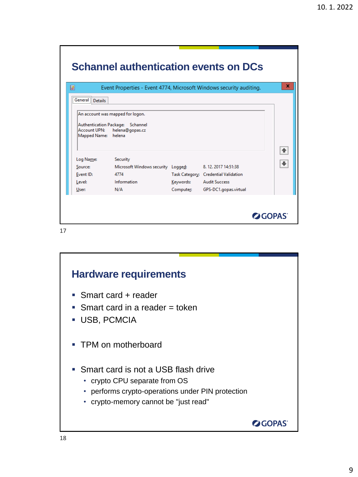|                                     |                                    |           | Event Properties - Event 4774, Microsoft Windows security auditing. |  |
|-------------------------------------|------------------------------------|-----------|---------------------------------------------------------------------|--|
| General Details                     |                                    |           |                                                                     |  |
|                                     | Authentication Package: Schannel   |           |                                                                     |  |
| Account UPN:<br>Mapped Name: helena | helena@gopas.cz                    |           |                                                                     |  |
|                                     | Security                           |           |                                                                     |  |
| Log Name:<br>Source:                | Microsoft Windows security Logged: |           | 8.12.2017 14:51:38                                                  |  |
| Event ID:<br>Level:                 | 4774<br>Information                | Keywords: | Task Category: Credential Validation<br><b>Audit Success</b>        |  |

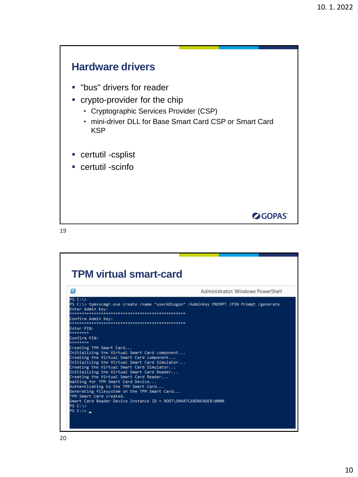

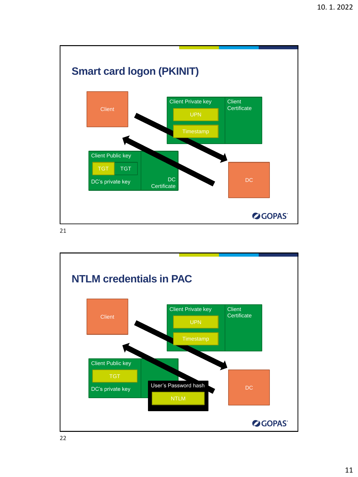

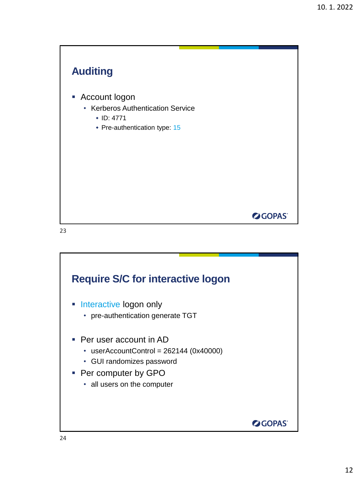